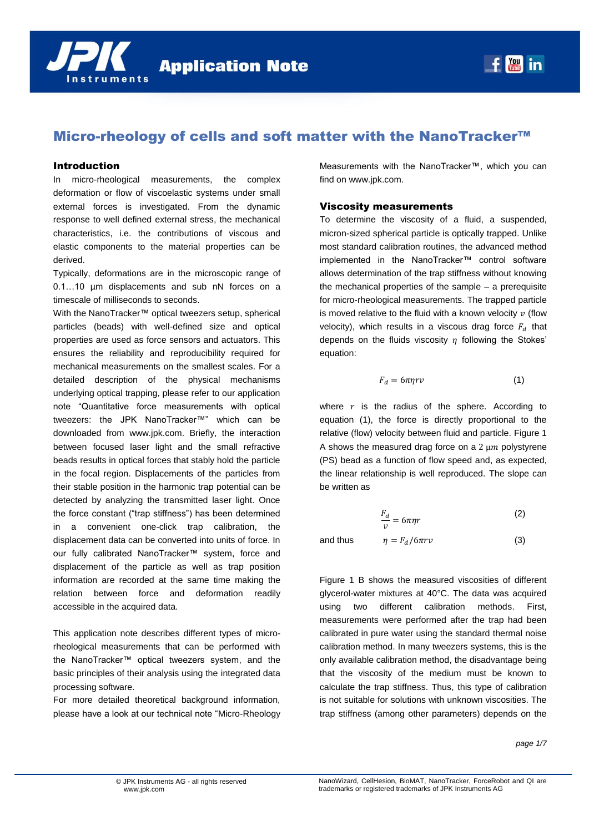

# Micro-rheology of cells and soft matter with the NanoTracker™

## Introduction

In micro-rheological measurements, the complex deformation or flow of viscoelastic systems under small external forces is investigated. From the dynamic response to well defined external stress, the mechanical characteristics, i.e. the contributions of viscous and elastic components to the material properties can be derived.

Typically, deformations are in the microscopic range of 0.1…10 µm displacements and sub nN forces on a timescale of milliseconds to seconds.

With the NanoTracker™ optical tweezers setup, spherical particles (beads) with well-defined size and optical properties are used as force sensors and actuators. This ensures the reliability and reproducibility required for mechanical measurements on the smallest scales. For a detailed description of the physical mechanisms underlying optical trapping, please refer to our application note "Quantitative force measurements with optical tweezers: the JPK NanoTracker™" which can be downloaded from www.jpk.com. Briefly, the interaction between focused laser light and the small refractive beads results in optical forces that stably hold the particle in the focal region. Displacements of the particles from their stable position in the harmonic trap potential can be detected by analyzing the transmitted laser light. Once the force constant ("trap stiffness") has been determined in a convenient one-click trap calibration, the displacement data can be converted into units of force. In our fully calibrated NanoTracker™ system, force and displacement of the particle as well as trap position information are recorded at the same time making the relation between force and deformation readily accessible in the acquired data.

This application note describes different types of microrheological measurements that can be performed with the NanoTracker™ optical tweezers system, and the basic principles of their analysis using the integrated data processing software.

For more detailed theoretical background information, please have a look at our technical note "Micro-Rheology Measurements with the NanoTracker™, which you can find on www.jpk.com.

## Viscosity measurements

To determine the viscosity of a fluid, a suspended, micron-sized spherical particle is optically trapped. Unlike most standard calibration routines, the advanced method implemented in the NanoTracker™ control software allows determination of the trap stiffness without knowing the mechanical properties of the sample – a prerequisite for micro-rheological measurements. The trapped particle is moved relative to the fluid with a known velocity  $v$  (flow velocity), which results in a viscous drag force  $F<sub>d</sub>$  that depends on the fluids viscosity  $\eta$  following the Stokes' equation:

<span id="page-0-0"></span>
$$
F_d = 6\pi\eta r v \tag{1}
$$

where  $r$  is the radius of the sphere. According to equation [\(1\),](#page-0-0) the force is directly proportional to the relative (flow) velocity between fluid and particle. [Figure 1](#page-1-0) A shows the measured drag force on a  $2 \mu m$  polystyrene (PS) bead as a function of flow speed and, as expected, the linear relationship is well reproduced. The slope can be written as

$$
\frac{F_d}{v} = 6\pi\eta r\tag{2}
$$

and thus  $\eta = F_d/6\pi r v$  (3)

[Figure 1](#page-1-0) B shows the measured viscosities of different glycerol-water mixtures at 40°C. The data was acquired using two different calibration methods. First, measurements were performed after the trap had been calibrated in pure water using the standard thermal noise calibration method. In many tweezers systems, this is the only available calibration method, the disadvantage being that the viscosity of the medium must be known to calculate the trap stiffness. Thus, this type of calibration is not suitable for solutions with unknown viscosities. The trap stiffness (among other parameters) depends on the

#### *page 1/7*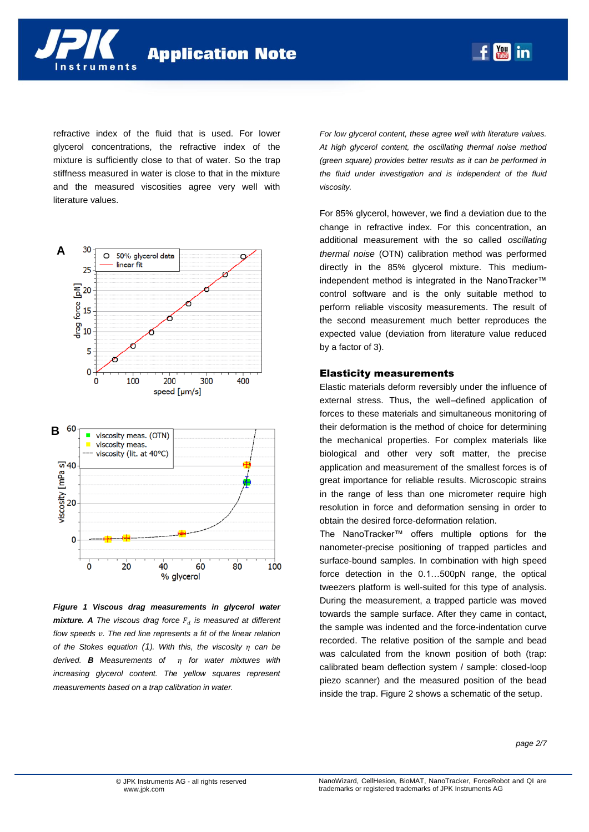

refractive index of the fluid that is used. For lower glycerol concentrations, the refractive index of the mixture is sufficiently close to that of water. So the trap stiffness measured in water is close to that in the mixture and the measured viscosities agree very well with literature values.





<span id="page-1-0"></span>*Figure 1 Viscous drag measurements in glycerol water mixture.* A *The viscous drag force*  $F_d$  *is measured at different flow speeds v. The red line represents a fit of the linear relation of the Stokes equation* [\(1](#page-0-0)). With this, the viscosity  $\eta$  can be *derived. B* Measurements of m for water mixtures with *increasing glycerol content. The yellow squares represent measurements based on a trap calibration in water.* 

*For low glycerol content, these agree well with literature values. At high glycerol content, the oscillating thermal noise method (green square) provides better results as it can be performed in the fluid under investigation and is independent of the fluid viscosity.*

**You in** 

For 85% glycerol, however, we find a deviation due to the change in refractive index. For this concentration, an additional measurement with the so called *oscillating thermal noise* (OTN) calibration method was performed directly in the 85% glycerol mixture. This mediumindependent method is integrated in the NanoTracker™ control software and is the only suitable method to perform reliable viscosity measurements. The result of the second measurement much better reproduces the expected value (deviation from literature value reduced by a factor of 3).

## Elasticity measurements

Elastic materials deform reversibly under the influence of external stress. Thus, the well–defined application of forces to these materials and simultaneous monitoring of their deformation is the method of choice for determining the mechanical properties. For complex materials like biological and other very soft matter, the precise application and measurement of the smallest forces is of great importance for reliable results. Microscopic strains in the range of less than one micrometer require high resolution in force and deformation sensing in order to obtain the desired force-deformation relation.

The NanoTracker™ offers multiple options for the nanometer-precise positioning of trapped particles and surface-bound samples. In combination with high speed force detection in the 0.1…500pN range, the optical tweezers platform is well-suited for this type of analysis. During the measurement, a trapped particle was moved towards the sample surface. After they came in contact, the sample was indented and the force-indentation curve recorded. The relative position of the sample and bead was calculated from the known position of both (trap: calibrated beam deflection system / sample: closed-loop piezo scanner) and the measured position of the bead inside the trap[. Figure 2](#page-2-0) shows a schematic of the setup.

*page 2/7*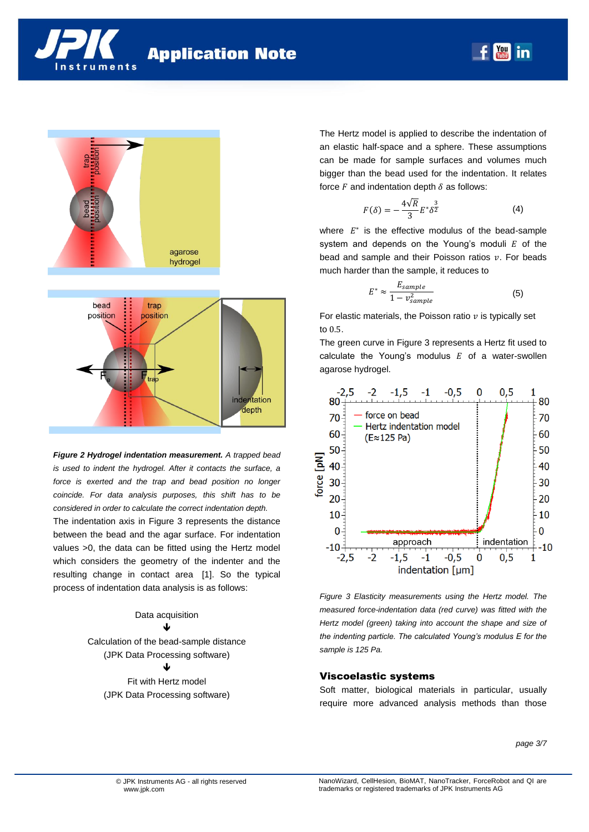



<span id="page-2-0"></span>*Figure 2 Hydrogel indentation measurement. A trapped bead is used to indent the hydrogel. After it contacts the surface, a force is exerted and the trap and bead position no longer coincide. For data analysis purposes, this shift has to be considered in order to calculate the correct indentation depth.*

The indentation axis in [Figure 3](#page-2-1) represents the distance between the bead and the agar surface. For indentation values >0, the data can be fitted using the Hertz model which considers the geometry of the indenter and the resulting change in contact area [1]. So the typical process of indentation data analysis is as follows:

> Data acquisition  $\mathbf{I}$

Calculation of the bead-sample distance (JPK Data Processing software) J Fit with Hertz model

(JPK Data Processing software)

The Hertz model is applied to describe the indentation of an elastic half-space and a sphere. These assumptions can be made for sample surfaces and volumes much bigger than the bead used for the indentation. It relates force  $F$  and indentation depth  $\delta$  as follows:

$$
F(\delta) = -\frac{4\sqrt{R}}{3}E^*\delta^{\frac{3}{2}}\tag{4}
$$

 $\frac{You}{?}$ in

where  $E^*$  is the effective modulus of the bead-sample system and depends on the Young's moduli  $E$  of the bead and sample and their Poisson ratios  $v$ . For beads much harder than the sample, it reduces to

$$
E^* \approx \frac{E_{sample}}{1 - v_{sample}^2} \tag{5}
$$

For elastic materials, the Poisson ratio  $v$  is typically set to  $0.5$ .

The green curve in [Figure 3](#page-2-1) represents a Hertz fit used to calculate the Young's modulus  $E$  of a water-swollen agarose hydrogel.



<span id="page-2-1"></span>*Figure 3 Elasticity measurements using the Hertz model. The measured force-indentation data (red curve) was fitted with the Hertz model (green) taking into account the shape and size of the indenting particle. The calculated Young's modulus E for the sample is 125 Pa.*

## Viscoelastic systems

Soft matter, biological materials in particular, usually require more advanced analysis methods than those

*page 3/7*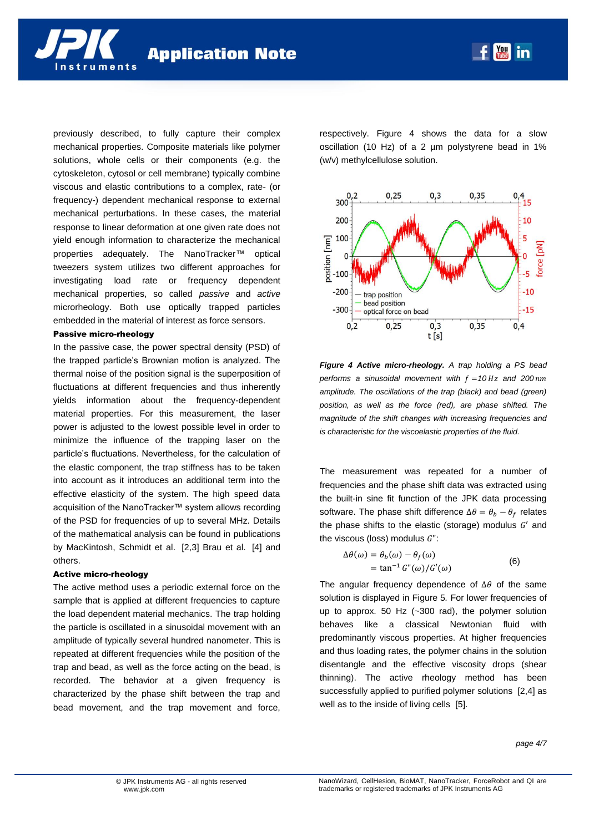nstruments

previously described, to fully capture their complex mechanical properties. Composite materials like polymer solutions, whole cells or their components (e.g. the cytoskeleton, cytosol or cell membrane) typically combine viscous and elastic contributions to a complex, rate- (or frequency-) dependent mechanical response to external mechanical perturbations. In these cases, the material response to linear deformation at one given rate does not yield enough information to characterize the mechanical properties adequately. The NanoTracker™ optical tweezers system utilizes two different approaches for investigating load rate or frequency dependent mechanical properties, so called *passive* and *active* microrheology. Both use optically trapped particles embedded in the material of interest as force sensors.

#### Passive micro-rheology

In the passive case, the power spectral density (PSD) of the trapped particle's Brownian motion is analyzed. The thermal noise of the position signal is the superposition of fluctuations at different frequencies and thus inherently yields information about the frequency-dependent material properties. For this measurement, the laser power is adjusted to the lowest possible level in order to minimize the influence of the trapping laser on the particle's fluctuations. Nevertheless, for the calculation of the elastic component, the trap stiffness has to be taken into account as it introduces an additional term into the effective elasticity of the system. The high speed data acquisition of the NanoTracker™ system allows recording of the PSD for frequencies of up to several MHz. Details of the mathematical analysis can be found in publications by MacKintosh, Schmidt et al. [2,3] Brau et al. [4] and others.

#### Active micro-rheology

The active method uses a periodic external force on the sample that is applied at different frequencies to capture the load dependent material mechanics. The trap holding the particle is oscillated in a sinusoidal movement with an amplitude of typically several hundred nanometer. This is repeated at different frequencies while the position of the trap and bead, as well as the force acting on the bead, is recorded. The behavior at a given frequency is characterized by the phase shift between the trap and bead movement, and the trap movement and force,

respectively. [Figure 4](#page-3-0) shows the data for a slow oscillation (10 Hz) of a 2 µm polystyrene bead in 1% (w/v) methylcellulose solution.

 $f_{\text{max}}$  in



<span id="page-3-0"></span>*Figure 4 Active micro-rheology. A trap holding a PS bead performs a sinusoidal movement with*  $f = 10 Hz$  *and 200 nm amplitude. The oscillations of the trap (black) and bead (green) position, as well as the force (red), are phase shifted. The magnitude of the shift changes with increasing frequencies and is characteristic for the viscoelastic properties of the fluid.*

The measurement was repeated for a number of frequencies and the phase shift data was extracted using the built-in sine fit function of the JPK data processing software. The phase shift difference  $\Delta \theta = \theta_h - \theta_f$  relates the phase shifts to the elastic (storage) modulus  $G'$  and the viscous (loss) modulus  $G$ ":

$$
\Delta \theta(\omega) = \theta_b(\omega) - \theta_f(\omega)
$$
  
= tan<sup>-1</sup>  $G''(\omega)/G'(\omega)$  (6)

The angular frequency dependence of  $\Delta\theta$  of the same solution is displayed in Figure 5*.* For lower frequencies of up to approx. 50 Hz (~300 rad), the polymer solution behaves like a classical Newtonian fluid with predominantly viscous properties. At higher frequencies and thus loading rates, the polymer chains in the solution disentangle and the effective viscosity drops (shear thinning). The active rheology method has been successfully applied to purified polymer solutions [2,4] as well as to the inside of living cells [5].

*page 4/7*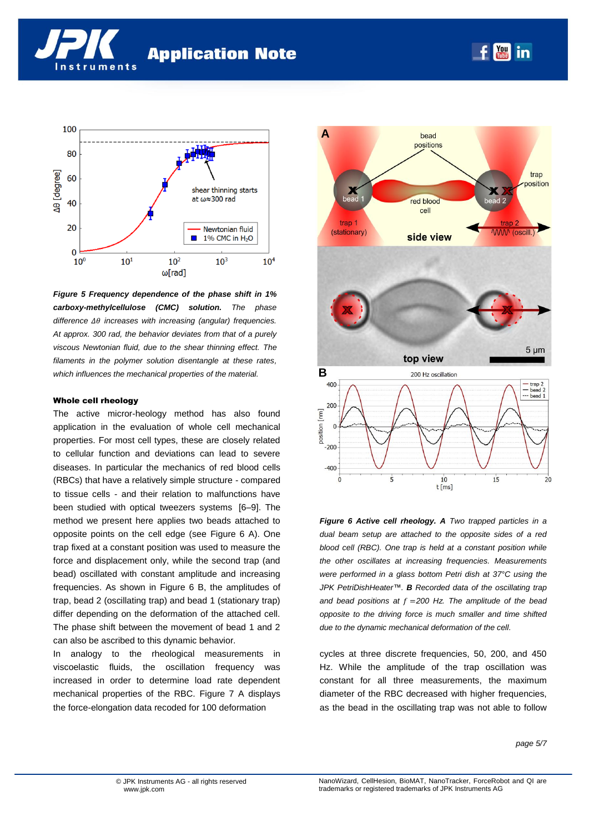



*Figure 5 Frequency dependence of the phase shift in 1% carboxy-methylcellulose (CMC) solution. The phase*  difference  $\Delta\theta$  increases with increasing (angular) frequencies. *At approx. 300 rad, the behavior deviates from that of a purely viscous Newtonian fluid, due to the shear thinning effect. The filaments in the polymer solution disentangle at these rates, which influences the mechanical properties of the material.*

#### Whole cell rheology

The active micror-heology method has also found application in the evaluation of whole cell mechanical properties. For most cell types, these are closely related to cellular function and deviations can lead to severe diseases. In particular the mechanics of red blood cells (RBCs) that have a relatively simple structure - compared to tissue cells - and their relation to malfunctions have been studied with optical tweezers systems [6–9]. The method we present here applies two beads attached to opposite points on the cell edge (see [Figure 6](#page-4-0) A). One trap fixed at a constant position was used to measure the force and displacement only, while the second trap (and bead) oscillated with constant amplitude and increasing frequencies. As shown in [Figure 6](#page-4-0) B, the amplitudes of trap, bead 2 (oscillating trap) and bead 1 (stationary trap) differ depending on the deformation of the attached cell. The phase shift between the movement of bead 1 and 2 can also be ascribed to this dynamic behavior.

In analogy to the rheological measurements in viscoelastic fluids, the oscillation frequency was increased in order to determine load rate dependent mechanical properties of the RBC. [Figure 7](#page-5-0) A displays the force-elongation data recoded for 100 deformation



 $\begin{bmatrix} \text{You} \\ \text{frika} \end{bmatrix}$ 

in

<span id="page-4-0"></span>*Figure 6 Active cell rheology. A Two trapped particles in a dual beam setup are attached to the opposite sides of a red blood cell (RBC). One trap is held at a constant position while the other oscillates at increasing frequencies. Measurements were performed in a glass bottom Petri dish at 37°C using the JPK PetriDishHeater™. B Recorded data of the oscillating trap*  and bead positions at  $f = 200$  Hz. The amplitude of the bead *opposite to the driving force is much smaller and time shifted due to the dynamic mechanical deformation of the cell.*

cycles at three discrete frequencies, 50, 200, and 450 Hz. While the amplitude of the trap oscillation was constant for all three measurements, the maximum diameter of the RBC decreased with higher frequencies, as the bead in the oscillating trap was not able to follow

*page 5/7*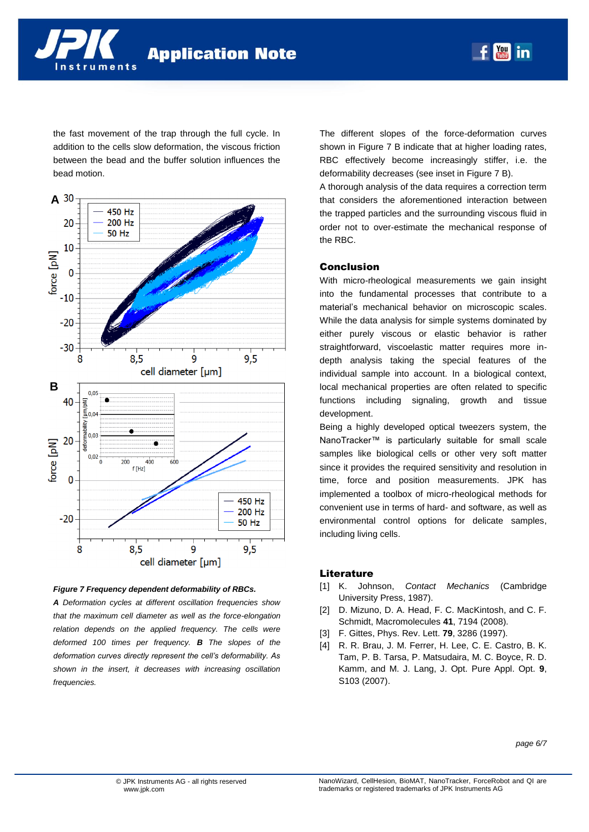

the fast movement of the trap through the full cycle. In addition to the cells slow deformation, the viscous friction between the bead and the buffer solution influences the bead motion.



#### <span id="page-5-0"></span>*Figure 7 Frequency dependent deformability of RBCs.*

*A Deformation cycles at different oscillation frequencies show that the maximum cell diameter as well as the force-elongation relation depends on the applied frequency. The cells were deformed 100 times per frequency. B The slopes of the deformation curves directly represent the cell's deformability. As shown in the insert, it decreases with increasing oscillation frequencies.* 

The different slopes of the force-deformation curves shown in [Figure 7](#page-5-0) B indicate that at higher loading rates, RBC effectively become increasingly stiffer, i.e. the deformability decreases (see inset i[n Figure 7](#page-5-0) B).

**May** in

A thorough analysis of the data requires a correction term that considers the aforementioned interaction between the trapped particles and the surrounding viscous fluid in order not to over-estimate the mechanical response of the RBC.

## Conclusion

With micro-rheological measurements we gain insight into the fundamental processes that contribute to a material's mechanical behavior on microscopic scales. While the data analysis for simple systems dominated by either purely viscous or elastic behavior is rather straightforward, viscoelastic matter requires more indepth analysis taking the special features of the individual sample into account. In a biological context, local mechanical properties are often related to specific functions including signaling, growth and tissue development.

Being a highly developed optical tweezers system, the NanoTracker™ is particularly suitable for small scale samples like biological cells or other very soft matter since it provides the required sensitivity and resolution in time, force and position measurements. JPK has implemented a toolbox of micro-rheological methods for convenient use in terms of hard- and software, as well as environmental control options for delicate samples, including living cells.

#### **Literature**

- [1] K. Johnson, *Contact Mechanics* (Cambridge University Press, 1987).
- [2] D. Mizuno, D. A. Head, F. C. MacKintosh, and C. F. Schmidt, Macromolecules **41**, 7194 (2008).
- [3] F. Gittes, Phys. Rev. Lett. **79**, 3286 (1997).
- [4] R. R. Brau, J. M. Ferrer, H. Lee, C. E. Castro, B. K. Tam, P. B. Tarsa, P. Matsudaira, M. C. Boyce, R. D. Kamm, and M. J. Lang, J. Opt. Pure Appl. Opt. **9**, S103 (2007).

*page 6/7*